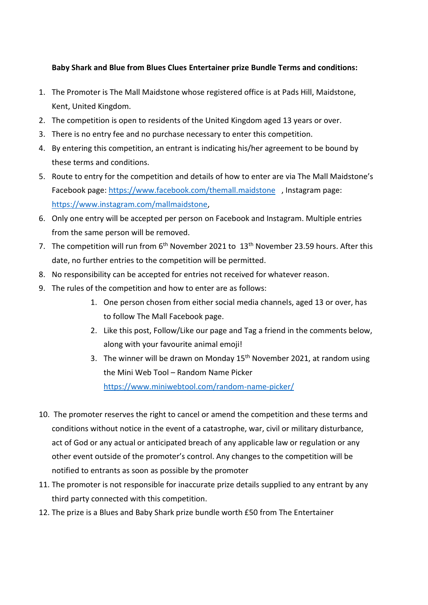## **Baby Shark and Blue from Blues Clues Entertainer prize Bundle Terms and conditions:**

- 1. The Promoter is The Mall Maidstone whose registered office is at Pads Hill, Maidstone, Kent, United Kingdom.
- 2. The competition is open to residents of the United Kingdom aged 13 years or over.
- 3. There is no entry fee and no purchase necessary to enter this competition.
- 4. By entering this competition, an entrant is indicating his/her agreement to be bound by these terms and conditions.
- 5. Route to entry for the competition and details of how to enter are via The Mall Maidstone's Facebook page:<https://www.facebook.com/themall.maidstone>, Instagram page: [https://www.instagram.com/mallmaidstone,](https://www.instagram.com/mallmaidstone)
- 6. Only one entry will be accepted per person on Facebook and Instagram. Multiple entries from the same person will be removed.
- 7. The competition will run from 6<sup>th</sup> November 2021 to 13<sup>th</sup> November 23.59 hours. After this date, no further entries to the competition will be permitted.
- 8. No responsibility can be accepted for entries not received for whatever reason.
- 9. The rules of the competition and how to enter are as follows:
	- 1. One person chosen from either social media channels, aged 13 or over, has to follow The Mall Facebook page.
	- 2. Like this post, Follow/Like our page and Tag a friend in the comments below, along with your favourite animal emoji!
	- 3. The winner will be drawn on Monday  $15<sup>th</sup>$  November 2021, at random using the Mini Web Tool – Random Name Picker <https://www.miniwebtool.com/random-name-picker/>
- 10. The promoter reserves the right to cancel or amend the competition and these terms and conditions without notice in the event of a catastrophe, war, civil or military disturbance, act of God or any actual or anticipated breach of any applicable law or regulation or any other event outside of the promoter's control. Any changes to the competition will be notified to entrants as soon as possible by the promoter
- 11. The promoter is not responsible for inaccurate prize details supplied to any entrant by any third party connected with this competition.
- 12. The prize is a Blues and Baby Shark prize bundle worth £50 from The Entertainer